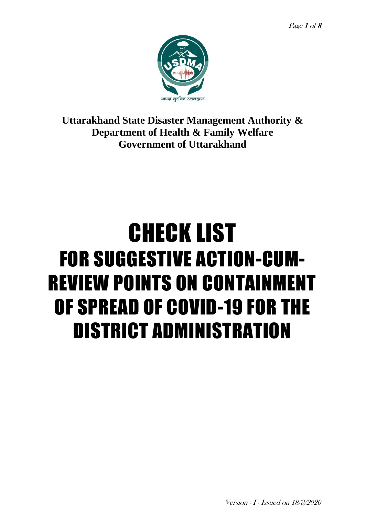

**Uttarakhand State Disaster Management Authority & Department of Health & Family Welfare Government of Uttarakhand**

# CHECK LIST FOR SUGGESTIVE ACTION-CUM-REVIEW POINTS ON CONTAINMENT OF SPREAD OF COVID-19 FOR THE DISTRICT ADMINISTRATION

Version - I - Issued on 18/3/2020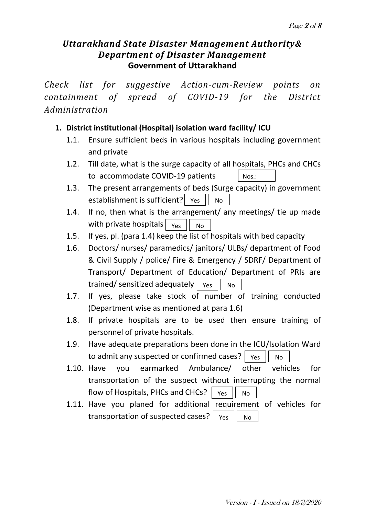# *Uttarakhand State Disaster Management Authority& Department of Disaster Management* **Government of Uttarakhand**

*Check list for suggestive Action-cum-Review points on containment of spread of COVID-19 for the District Administration*

# **1. District institutional (Hospital) isolation ward facility/ ICU**

- 1.1. Ensure sufficient beds in various hospitals including government and private
- 1.2. Till date, what is the surge capacity of all hospitals, PHCs and CHCs to accommodate COVID-19 patients Nos.:
- 1.3. The present arrangements of beds (Surge capacity) in government establishment is sufficient?  $\vert$  Yes  $\vert\vert$  No
- 1.4. If no, then what is the arrangement/ any meetings/ tie up made with private hospitals Yes No
- 1.5. If yes, pl. (para 1.4) keep the list of hospitals with bed capacity
- 1.6. Doctors/ nurses/ paramedics/ janitors/ ULBs/ department of Food & Civil Supply / police/ Fire & Emergency / SDRF/ Department of Transport/ Department of Education/ Department of PRIs are trained/ sensitized adequately  $\mid$   $_{\text{Yes}}\mid\mid$   $\mid$   $_{\text{No}}$
- 1.7. If yes, please take stock of number of training conducted (Department wise as mentioned at para 1.6)
- 1.8. If private hospitals are to be used then ensure training of personnel of private hospitals.
- 1.9. Have adequate preparations been done in the ICU/Isolation Ward to admit any suspected or confirmed cases?  $\mid$   $\gamma$ es  $\mid \mid$   $\mid$  No
- 1.10. Have you earmarked Ambulance/ other vehicles for transportation of the suspect without interrupting the normal flow of Hospitals, PHCs and CHCs?  $\parallel$  Yes  $\parallel$  No
- 1.11. Have you planed for additional requirement of vehicles for transportation of suspected cases? Yes  $\parallel$  No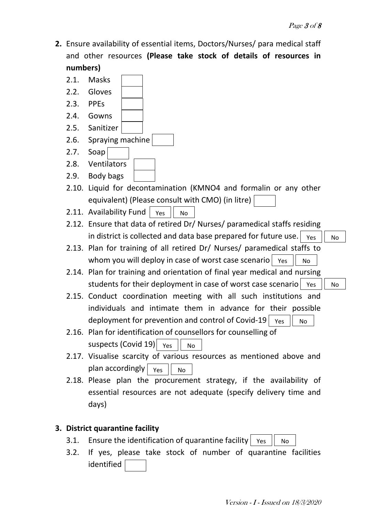**2.** Ensure availability of essential items, Doctors/Nurses/ para medical staff and other resources **(Please take stock of details of resources in numbers)**



#### **3. District quarantine facility**

- 3.1. Ensure the identification of quarantine facility  $|$  Yes  $|$  No
- 3.2. If yes, please take stock of number of quarantine facilities identified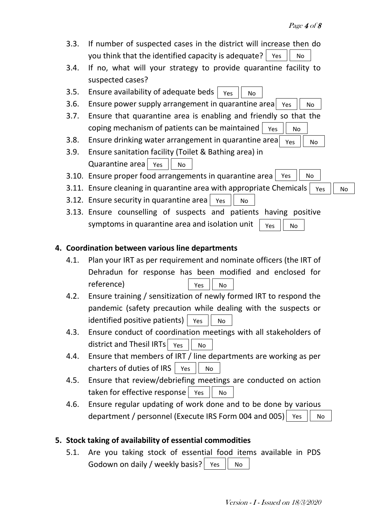| 3.3. | If number of suspected cases in the district will increase then do<br>you think that the identified capacity is adequate?<br>Yes<br>No |
|------|----------------------------------------------------------------------------------------------------------------------------------------|
|      |                                                                                                                                        |
| 3.4. | If no, what will your strategy to provide quarantine facility to                                                                       |
|      | suspected cases?                                                                                                                       |
| 3.5. | Ensure availability of adequate beds<br>Yes<br>No                                                                                      |
| 3.6. | Ensure power supply arrangement in quarantine area<br>Yes<br>No                                                                        |
| 3.7. | Ensure that quarantine area is enabling and friendly so that the                                                                       |
|      | coping mechanism of patients can be maintained<br>Yes<br><b>No</b>                                                                     |
| 3.8. | Ensure drinking water arrangement in quarantine area<br>Yes<br>No                                                                      |
| 3.9. | Ensure sanitation facility (Toilet & Bathing area) in                                                                                  |
|      | Quarantine area<br>Yes<br><b>No</b>                                                                                                    |
|      | 3.10. Ensure proper food arrangements in quarantine area<br>No<br>Yes                                                                  |
|      | 3.11. Ensure cleaning in quarantine area with appropriate Chemicals<br>Yes<br>No                                                       |
|      | 3.12. Ensure security in quarantine area<br>Yes<br>No.                                                                                 |
|      | 3.13. Ensure counselling of suspects and patients having positive                                                                      |
|      | symptoms in quarantine area and isolation unit<br>Yes<br>No                                                                            |
|      | 4. Coordination between various line departments                                                                                       |
|      |                                                                                                                                        |
| 4.1. | Plan your IRT as per requirement and nominate officers (the IRT of                                                                     |
|      | Dehradun for response has been modified and enclosed for                                                                               |
|      | reference)<br>Yes<br>No                                                                                                                |
| 4.2. | Ensure training / sensitization of newly formed IRT to respond the                                                                     |
|      | pandemic (safety precaution while dealing with the suspects or                                                                         |
|      | identified positive patients)<br>Yes<br><b>No</b>                                                                                      |
|      |                                                                                                                                        |

- 4.3. Ensure conduct of coordination meetings with all stakeholders of district and Thesil IRTs  $\vert$  Yes  $\vert$  No
- 4.4. Ensure that members of IRT / line departments are working as per charters of duties of IRS  $\vert$  Yes  $\vert\vert$  No
- 4.5. Ensure that review/debriefing meetings are conducted on action  $\mathsf{taken}$  for effective response  $\mid$  Yes  $\mid\mid$  No
- 4.6. Ensure regular updating of work done and to be done by various department / personnel (Execute IRS Form 004 and 005) | Yes  $|$  No

# **5. Stock taking of availability of essential commodities**

5.1. Are you taking stock of essential food items available in PDS Godown on daily / weekly basis? | Yes  $\|$  No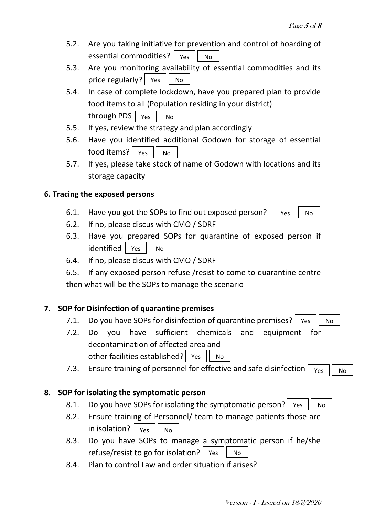- 5.2. Are you taking initiative for prevention and control of hoarding of essential commodities? Yes || No
- 5.3. Are you monitoring availability of essential commodities and its price regularly? | Yes | No
- 5.4. In case of complete lockdown, have you prepared plan to provide food items to all (Population residing in your district) <code>through PDS</code>  $\mid$  <code>Yes</code>  $\mid\mid$  <code>No</code>
- 5.5. If yes, review the strategy and plan accordingly
- 5.6. Have you identified additional Godown for storage of essential  $\left. \rule{0cm}{1.1cm}\right|$  food items?  $\left| \rule{0cm}{1.1cm}\right|$   $_{\rm Yes}$   $\left| \rule{0cm}{1.1cm}\right|$   $_{\rm No}$
- 5.7. If yes, please take stock of name of Godown with locations and its storage capacity

#### **6. Tracing the exposed persons**

- 6.1. Have you got the SOPs to find out exposed person? Yes || No
- 6.2. If no, please discus with CMO / SDRF
- 6.3. Have you prepared SOPs for quarantine of exposed person if identified Yes || No
- 6.4. If no, please discus with CMO / SDRF
- 6.5. If any exposed person refuse /resist to come to quarantine centre then what will be the SOPs to manage the scenario

#### **7. SOP for Disinfection of quarantine premises**

- 7.1. Do you have SOPs for disinfection of quarantine premises? | Yes  $||$  No
- 7.2. Do you have sufficient chemicals and equipment for decontamination of affected area and other facilities established? | Yes  $||$  No
- 7.3. Ensure training of personnel for effective and safe disinfection Yes || No

#### **8. SOP for isolating the symptomatic person**

- 8.1. Do you have SOPs for isolating the symptomatic person? | Yes  $||$  No
- 8.2. Ensure training of Personnel/ team to manage patients those are in isolation? Yes  $\parallel$  No
- 8.3. Do you have SOPs to manage a symptomatic person if he/she refuse/resist to go for isolation? | Yes  $\|$  No
- 8.4. Plan to control Law and order situation if arises?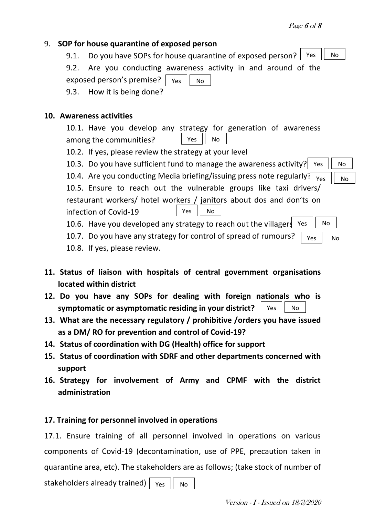# 9. **SOP for house quarantine of exposed person**

9.1. Do you have SOPs for house quarantine of exposed person? Yes || No

9.2. Are you conducting awareness activity in and around of the

exposed person's premise? 9.3. How it is being done? Yes || No

#### **10. Awareness activities**

10.1. Have you develop any strategy for generation of awareness among the communities? Yes  $||$  No

- 10.2. If yes, please review the strategy at your level
- 10.3. Do you have sufficient fund to manage the awareness activity? Yes  $\|$  No
- 10.4. Are you conducting Media briefing/issuing press note regularly?  $\overline{Y_{\text{res}}$   $\overline{Y_{\text{No}}}$

10.5. Ensure to reach out the vulnerable groups like taxi drivers/ restaurant workers/ hotel workers / janitors about dos and don'ts on infection of Covid-19 Yes  $||$  No

- 10.6. Have you developed any strategy to reach out the villagers Yes || No
- 10.7. Do you have any strategy for control of spread of rumours? Yes  $||$  No
- 10.8. If yes, please review.
- **11. Status of liaison with hospitals of central government organisations located within district**
- **12. Do you have any SOPs for dealing with foreign nationals who is symptomatic or asymptomatic residing in your district?** Yes  $||$  No
- **13. What are the necessary regulatory / prohibitive /orders you have issued as a DM/ RO for prevention and control of Covid-19?**
- **14. Status of coordination with DG (Health) office for support**
- **15. Status of coordination with SDRF and other departments concerned with support**
- **16. Strategy for involvement of Army and CPMF with the district administration**

# **17. Training for personnel involved in operations**

17.1. Ensure training of all personnel involved in operations on various components of Covid-19 (decontamination, use of PPE, precaution taken in quarantine area, etc). The stakeholders are as follows; (take stock of number of

stakeholders already trained) Yes || No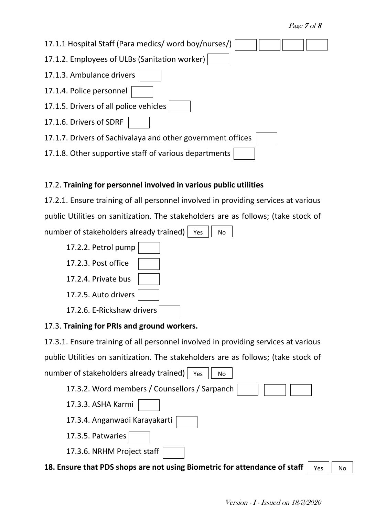| 17.1.1 Hospital Staff (Para medics/ word boy/nurses/)       |
|-------------------------------------------------------------|
| 17.1.2. Employees of ULBs (Sanitation worker)               |
| 17.1.3. Ambulance drivers                                   |
| 17.1.4. Police personnel                                    |
| 17.1.5. Drivers of all police vehicles                      |
| 17.1.6. Drivers of SDRF                                     |
| 17.1.7. Drivers of Sachivalaya and other government offices |
| 17.1.8. Other supportive staff of various departments       |

# 17.2. **Training for personnel involved in various public utilities**

17.2.1. Ensure training of all personnel involved in providing services at various public Utilities on sanitization. The stakeholders are as follows; (take stock of number of stakeholders already trained) | Yes  $||$  No



# 17.3. **Training for PRIs and ground workers.**

17.3.1. Ensure training of all personnel involved in providing services at various public Utilities on sanitization. The stakeholders are as follows; (take stock of number of stakeholders already trained) |  $Y$ es  $||$  No



**18. Ensure that PDS shops are not using Biometric for attendance of staff** Yes  $\parallel$  No